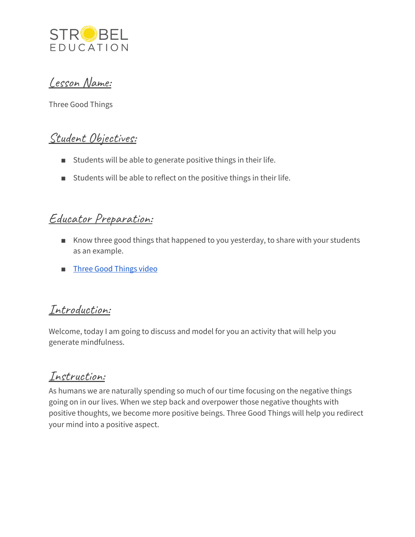

Lesson Name:

Three Good Things

### Student Objectives:

- Students will be able to generate positive things in their life.
- Students will be able to reflect on the positive things in their life.

#### Educator Preparation:

- Know three good things that happened to you yesterday, to share with your students as an example.
- Three Good [Things](https://youtu.be/ZOGAp9dw8Ac) video

#### Introduction:

Welcome, today I am going to discuss and model for you an activity that will help you generate mindfulness.

# Instruction:

As humans we are naturally spending so much of our time focusing on the negative things going on in our lives. When we step back and overpower those negative thoughts with positive thoughts, we become more positive beings. Three Good Things will help you redirect your mind into a positive aspect.